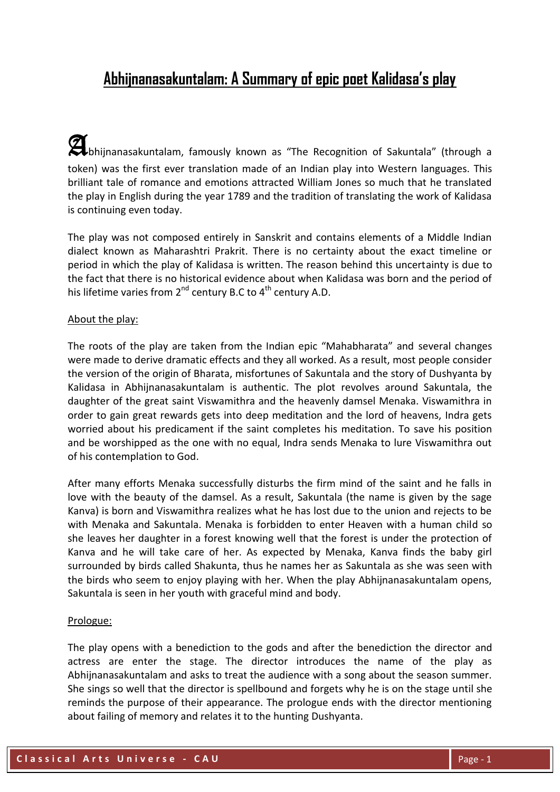# **Abhijnanasakuntalam: A Summary of epic poet Kalidasa's play**

**A**bhijnanasakuntalam, famously known as "The Recognition of Sakuntala" (through a token) was the first ever translation made of an Indian play into Western languages. This brilliant tale of romance and emotions attracted William Jones so much that he translated the play in English during the year 1789 and the tradition of translating the work of Kalidasa is continuing even today.

The play was not composed entirely in Sanskrit and contains elements of a Middle Indian dialect known as Maharashtri Prakrit. There is no certainty about the exact timeline or period in which the play of Kalidasa is written. The reason behind this uncertainty is due to the fact that there is no historical evidence about when Kalidasa was born and the period of his lifetime varies from  $2^{nd}$  century B.C to  $4^{th}$  century A.D.

### About the play:

The roots of the play are taken from the Indian epic "Mahabharata" and several changes were made to derive dramatic effects and they all worked. As a result, most people consider the version of the origin of Bharata, misfortunes of Sakuntala and the story of Dushyanta by Kalidasa in Abhijnanasakuntalam is authentic. The plot revolves around Sakuntala, the daughter of the great saint Viswamithra and the heavenly damsel Menaka. Viswamithra in order to gain great rewards gets into deep meditation and the lord of heavens, Indra gets worried about his predicament if the saint completes his meditation. To save his position and be worshipped as the one with no equal, Indra sends Menaka to lure Viswamithra out of his contemplation to God.

After many efforts Menaka successfully disturbs the firm mind of the saint and he falls in love with the beauty of the damsel. As a result, Sakuntala (the name is given by the sage Kanva) is born and Viswamithra realizes what he has lost due to the union and rejects to be with Menaka and Sakuntala. Menaka is forbidden to enter Heaven with a human child so she leaves her daughter in a forest knowing well that the forest is under the protection of Kanva and he will take care of her. As expected by Menaka, Kanva finds the baby girl surrounded by birds called Shakunta, thus he names her as Sakuntala as she was seen with the birds who seem to enjoy playing with her. When the play Abhijnanasakuntalam opens, Sakuntala is seen in her youth with graceful mind and body.

#### Prologue:

The play opens with a benediction to the gods and after the benediction the director and actress are enter the stage. The director introduces the name of the play as Abhijnanasakuntalam and asks to treat the audience with a song about the season summer. She sings so well that the director is spellbound and forgets why he is on the stage until she reminds the purpose of their appearance. The prologue ends with the director mentioning about failing of memory and relates it to the hunting Dushyanta.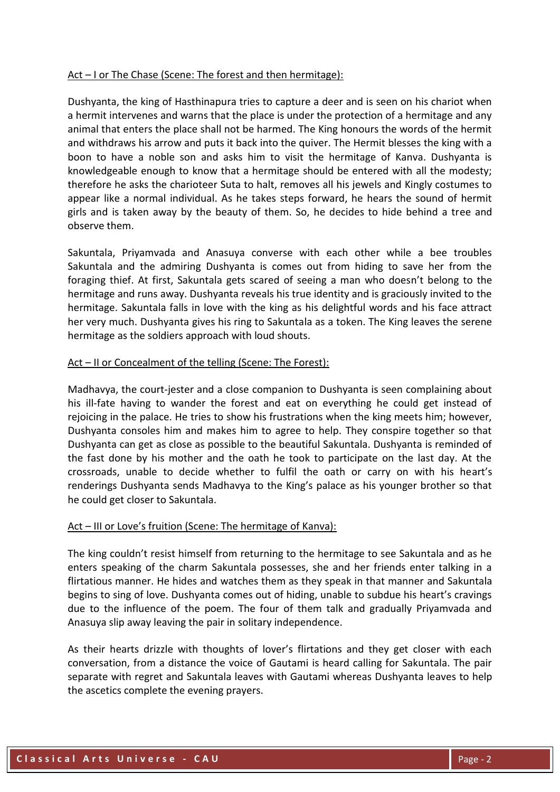### Act – I or The Chase (Scene: The forest and then hermitage):

Dushyanta, the king of Hasthinapura tries to capture a deer and is seen on his chariot when a hermit intervenes and warns that the place is under the protection of a hermitage and any animal that enters the place shall not be harmed. The King honours the words of the hermit and withdraws his arrow and puts it back into the quiver. The Hermit blesses the king with a boon to have a noble son and asks him to visit the hermitage of Kanva. Dushyanta is knowledgeable enough to know that a hermitage should be entered with all the modesty; therefore he asks the charioteer Suta to halt, removes all his jewels and Kingly costumes to appear like a normal individual. As he takes steps forward, he hears the sound of hermit girls and is taken away by the beauty of them. So, he decides to hide behind a tree and observe them.

Sakuntala, Priyamvada and Anasuya converse with each other while a bee troubles Sakuntala and the admiring Dushyanta is comes out from hiding to save her from the foraging thief. At first, Sakuntala gets scared of seeing a man who doesn't belong to the hermitage and runs away. Dushyanta reveals his true identity and is graciously invited to the hermitage. Sakuntala falls in love with the king as his delightful words and his face attract her very much. Dushyanta gives his ring to Sakuntala as a token. The King leaves the serene hermitage as the soldiers approach with loud shouts.

### Act – II or Concealment of the telling (Scene: The Forest):

Madhavya, the court-jester and a close companion to Dushyanta is seen complaining about his ill-fate having to wander the forest and eat on everything he could get instead of rejoicing in the palace. He tries to show his frustrations when the king meets him; however, Dushyanta consoles him and makes him to agree to help. They conspire together so that Dushyanta can get as close as possible to the beautiful Sakuntala. Dushyanta is reminded of the fast done by his mother and the oath he took to participate on the last day. At the crossroads, unable to decide whether to fulfil the oath or carry on with his heart's renderings Dushyanta sends Madhavya to the King's palace as his younger brother so that he could get closer to Sakuntala.

### Act – III or Love's fruition (Scene: The hermitage of Kanva):

The king couldn't resist himself from returning to the hermitage to see Sakuntala and as he enters speaking of the charm Sakuntala possesses, she and her friends enter talking in a flirtatious manner. He hides and watches them as they speak in that manner and Sakuntala begins to sing of love. Dushyanta comes out of hiding, unable to subdue his heart's cravings due to the influence of the poem. The four of them talk and gradually Priyamvada and Anasuya slip away leaving the pair in solitary independence.

As their hearts drizzle with thoughts of lover's flirtations and they get closer with each conversation, from a distance the voice of Gautami is heard calling for Sakuntala. The pair separate with regret and Sakuntala leaves with Gautami whereas Dushyanta leaves to help the ascetics complete the evening prayers.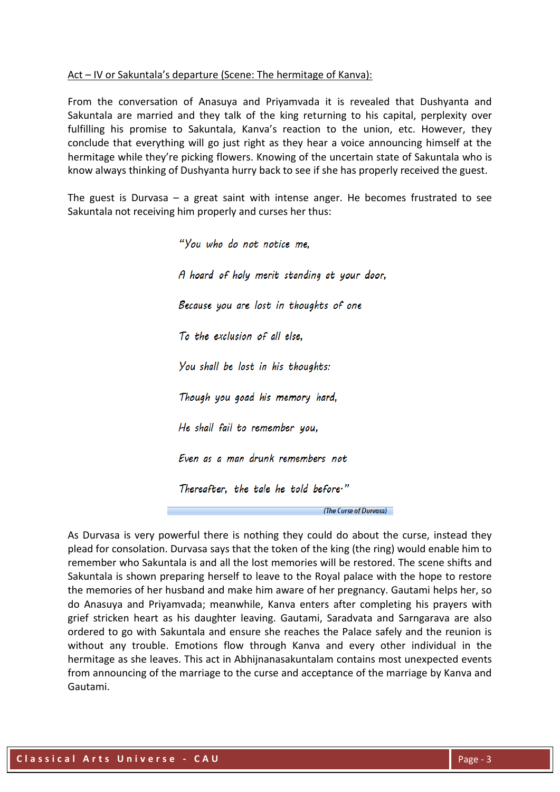### Act – IV or Sakuntala's departure (Scene: The hermitage of Kanva):

From the conversation of Anasuya and Priyamvada it is revealed that Dushyanta and Sakuntala are married and they talk of the king returning to his capital, perplexity over fulfilling his promise to Sakuntala, Kanva's reaction to the union, etc. However, they conclude that everything will go just right as they hear a voice announcing himself at the hermitage while they're picking flowers. Knowing of the uncertain state of Sakuntala who is know always thinking of Dushyanta hurry back to see if she has properly received the guest.

The guest is Durvasa – a great saint with intense anger. He becomes frustrated to see Sakuntala not receiving him properly and curses her thus:

> "You who do not notice me. A hoard of holy merit standing at your door, Because you are lost in thoughts of one To the exclusion of all else. You shall be lost in his thoughts: Though you goad his memory hard, He shall fail to remember you, Even as a man drunk remembers not Thereafter, the tale he told before." (The Curse of Durvasa)

As Durvasa is very powerful there is nothing they could do about the curse, instead they plead for consolation. Durvasa says that the token of the king (the ring) would enable him to remember who Sakuntala is and all the lost memories will be restored. The scene shifts and Sakuntala is shown preparing herself to leave to the Royal palace with the hope to restore the memories of her husband and make him aware of her pregnancy. Gautami helps her, so do Anasuya and Priyamvada; meanwhile, Kanva enters after completing his prayers with grief stricken heart as his daughter leaving. Gautami, Saradvata and Sarngarava are also ordered to go with Sakuntala and ensure she reaches the Palace safely and the reunion is without any trouble. Emotions flow through Kanva and every other individual in the hermitage as she leaves. This act in Abhijnanasakuntalam contains most unexpected events from announcing of the marriage to the curse and acceptance of the marriage by Kanva and Gautami.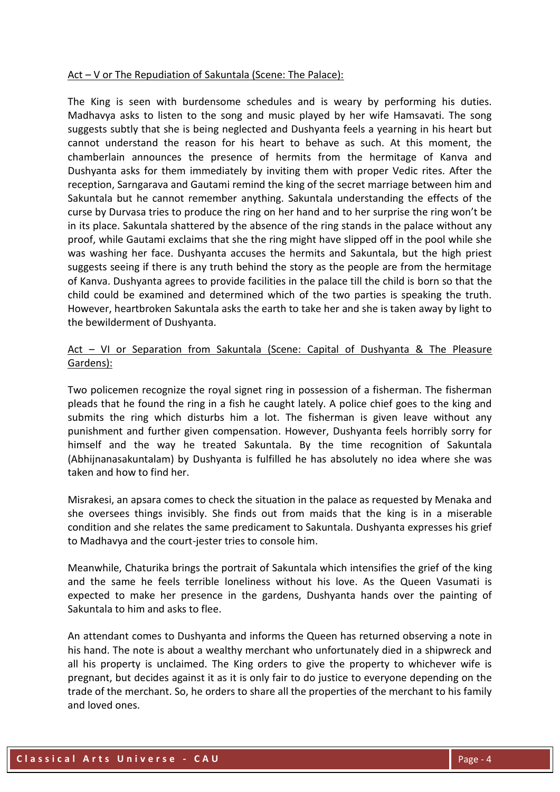#### Act – V or The Repudiation of Sakuntala (Scene: The Palace):

The King is seen with burdensome schedules and is weary by performing his duties. Madhavya asks to listen to the song and music played by her wife Hamsavati. The song suggests subtly that she is being neglected and Dushyanta feels a yearning in his heart but cannot understand the reason for his heart to behave as such. At this moment, the chamberlain announces the presence of hermits from the hermitage of Kanva and Dushyanta asks for them immediately by inviting them with proper Vedic rites. After the reception, Sarngarava and Gautami remind the king of the secret marriage between him and Sakuntala but he cannot remember anything. Sakuntala understanding the effects of the curse by Durvasa tries to produce the ring on her hand and to her surprise the ring won't be in its place. Sakuntala shattered by the absence of the ring stands in the palace without any proof, while Gautami exclaims that she the ring might have slipped off in the pool while she was washing her face. Dushyanta accuses the hermits and Sakuntala, but the high priest suggests seeing if there is any truth behind the story as the people are from the hermitage of Kanva. Dushyanta agrees to provide facilities in the palace till the child is born so that the child could be examined and determined which of the two parties is speaking the truth. However, heartbroken Sakuntala asks the earth to take her and she is taken away by light to the bewilderment of Dushyanta.

## Act - VI or Separation from Sakuntala (Scene: Capital of Dushyanta & The Pleasure Gardens):

Two policemen recognize the royal signet ring in possession of a fisherman. The fisherman pleads that he found the ring in a fish he caught lately. A police chief goes to the king and submits the ring which disturbs him a lot. The fisherman is given leave without any punishment and further given compensation. However, Dushyanta feels horribly sorry for himself and the way he treated Sakuntala. By the time recognition of Sakuntala (Abhijnanasakuntalam) by Dushyanta is fulfilled he has absolutely no idea where she was taken and how to find her.

Misrakesi, an apsara comes to check the situation in the palace as requested by Menaka and she oversees things invisibly. She finds out from maids that the king is in a miserable condition and she relates the same predicament to Sakuntala. Dushyanta expresses his grief to Madhavya and the court-jester tries to console him.

Meanwhile, Chaturika brings the portrait of Sakuntala which intensifies the grief of the king and the same he feels terrible loneliness without his love. As the Queen Vasumati is expected to make her presence in the gardens, Dushyanta hands over the painting of Sakuntala to him and asks to flee.

An attendant comes to Dushyanta and informs the Queen has returned observing a note in his hand. The note is about a wealthy merchant who unfortunately died in a shipwreck and all his property is unclaimed. The King orders to give the property to whichever wife is pregnant, but decides against it as it is only fair to do justice to everyone depending on the trade of the merchant. So, he orders to share all the properties of the merchant to his family and loved ones.